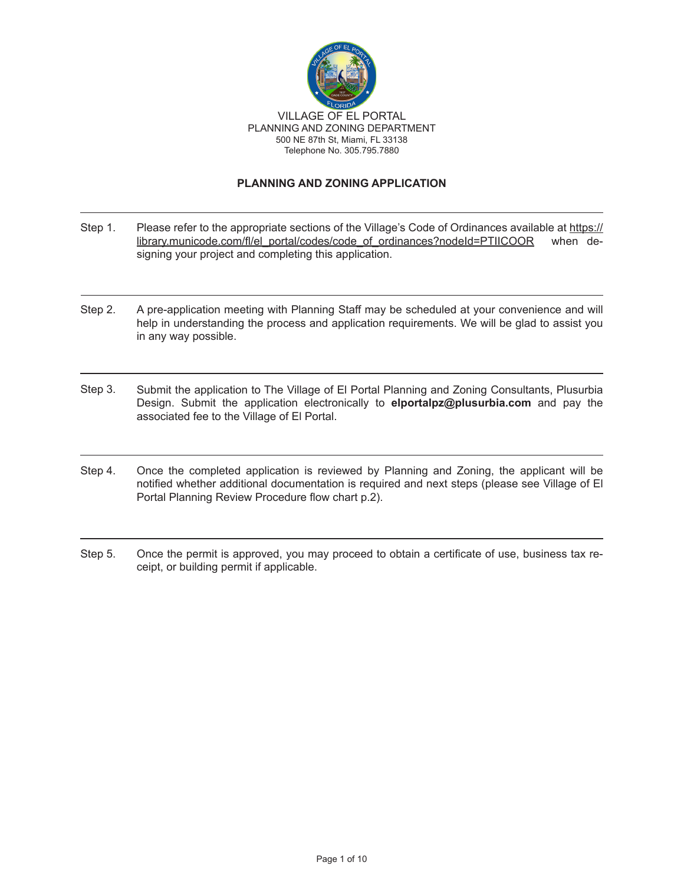

#### **PLANNING AND ZONING APPLICATION**

- Please refer to the appropriate sections of the Village's Code of Ordinances available at https:// library.municode.com/fl/el\_portal/codes/code\_of\_ordinances?nodeId=PTIICOOR when designing your project and completing this application. Step 1.
- Step 2. A pre-application meeting with Planning Staff may be scheduled at your convenience and will help in understanding the process and application requirements. We will be glad to assist you in any way possible.
- Step 3. Submit the application to The Village of El Portal Planning and Zoning Consultants, Plusurbia Design. Submit the application electronically to **elportalpz@plusurbia.com** and pay the associated fee to the Village of El Portal.
- Step 4. Once the completed application is reviewed by Planning and Zoning, the applicant will be notified whether additional documentation is required and next steps (please see Village of El Portal Planning Review Procedure flow chart p.2).
- Step 5. Once the permit is approved, you may proceed to obtain a certificate of use, business tax receipt, or building permit if applicable.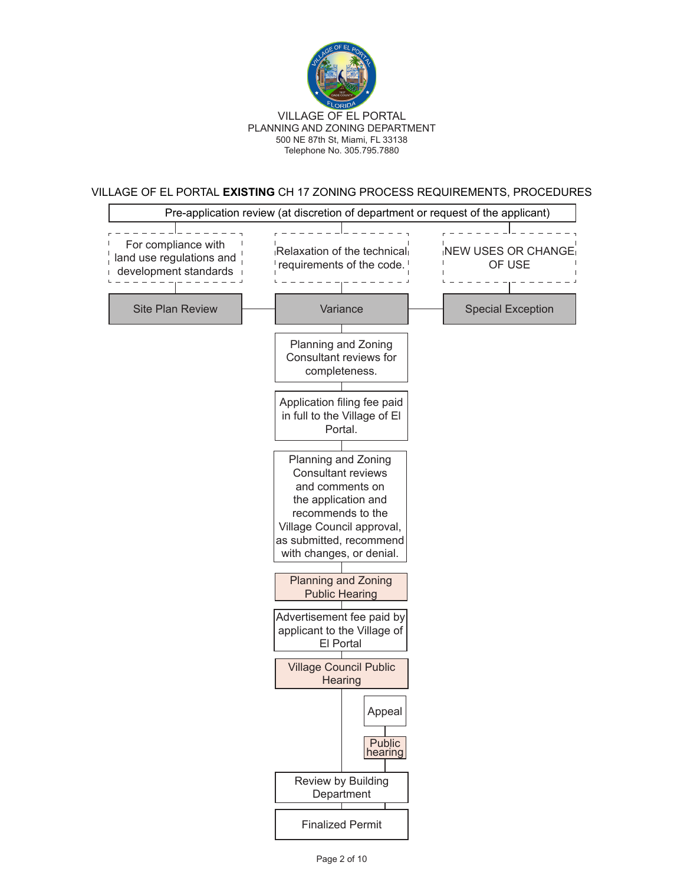

VILLAGE OF EL PORTAL **EXISTING** CH 17 ZONING PROCESS REQUIREMENTS, PROCEDURES

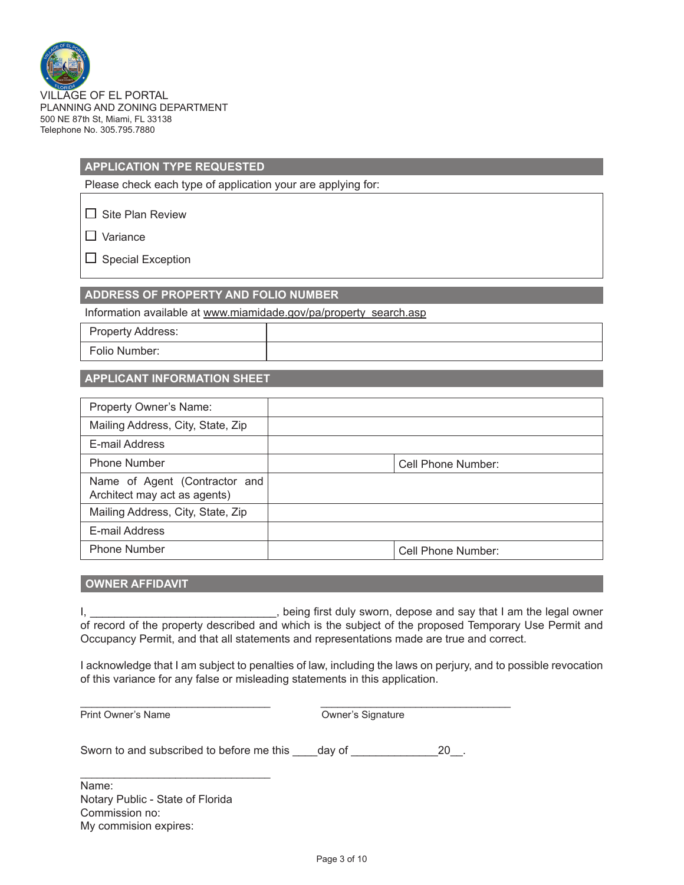

# **APPLICATION TYPE REQUESTED**

Please check each type of application your are applying for:

 $\Box$  Site Plan Review

 $\Box$  Variance

 $\Box$  Special Exception

**ADDRESS OF PROPERTY AND FOLIO NUMBER**

Information available at www.miamidade.gov/pa/property\_search.asp

Property Address: Folio Number:

#### **APPLICANT INFORMATION SHEET**

| Property Owner's Name:                                        |                    |
|---------------------------------------------------------------|--------------------|
| Mailing Address, City, State, Zip                             |                    |
| E-mail Address                                                |                    |
| <b>Phone Number</b>                                           | Cell Phone Number: |
| Name of Agent (Contractor and<br>Architect may act as agents) |                    |
| Mailing Address, City, State, Zip                             |                    |
| E-mail Address                                                |                    |
| <b>Phone Number</b>                                           | Cell Phone Number: |

## **OWNER AFFIDAVIT**

I, \_\_\_\_\_\_\_\_\_\_\_\_\_\_\_\_\_\_\_\_\_\_\_\_\_\_\_\_\_\_, being first duly sworn, depose and say that I am the legal owner of record of the property described and which is the subject of the proposed Temporary Use Permit and Occupancy Permit, and that all statements and representations made are true and correct.

I acknowledge that I am subject to penalties of law, including the laws on perjury, and to possible revocation of this variance for any false or misleading statements in this application.

Print Owner's Name

Sworn to and subscribed to before me this \_\_\_\_day of \_\_\_\_\_\_\_\_\_\_\_\_\_\_\_\_\_\_\_\_\_\_\_\_\_\_\_\_

\_\_\_\_\_\_\_\_\_\_\_\_\_\_\_\_\_\_\_\_\_\_\_\_\_\_\_\_\_\_\_\_\_\_ \_\_\_\_\_\_\_\_\_\_\_\_\_\_\_\_\_\_\_\_\_\_\_\_\_\_\_\_\_\_\_\_\_\_

Name: Notary Public - State of Florida Commission no: My commision expires:

 $\mathcal{L}_\text{max}$  and  $\mathcal{L}_\text{max}$  and  $\mathcal{L}_\text{max}$  and  $\mathcal{L}_\text{max}$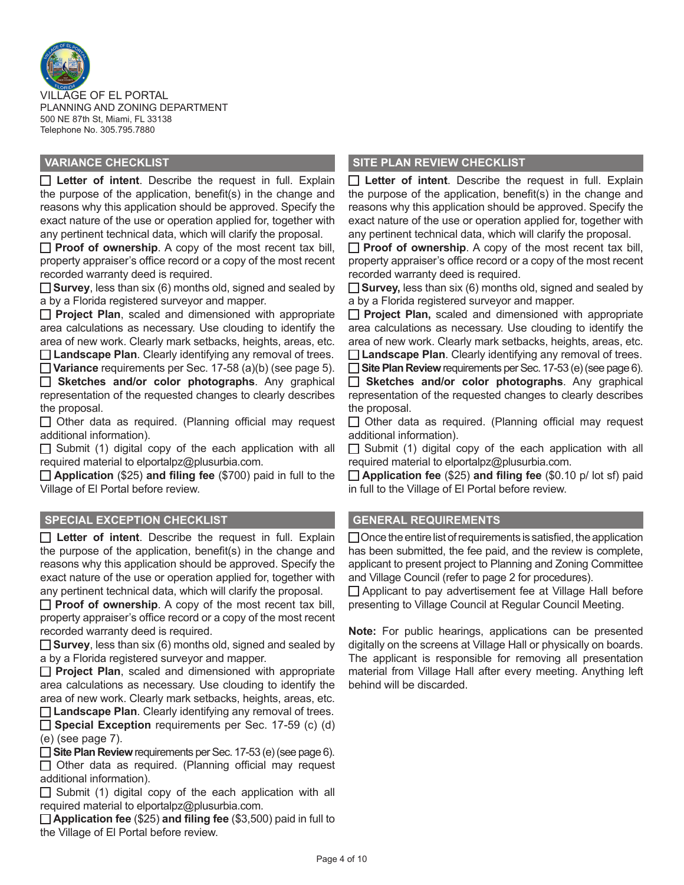

VILLAGE OF EL PORTAL PLANNING AND ZONING DEPARTMENT 500 NE 87th St, Miami, FL 33138 Telephone No. 305.795.7880

**Letter of intent**. Describe the request in full. Explain the purpose of the application, benefit(s) in the change and reasons why this application should be approved. Specify the exact nature of the use or operation applied for, together with any pertinent technical data, which will clarify the proposal.

**Proof of ownership**. A copy of the most recent tax bill, property appraiser's office record or a copy of the most recent recorded warranty deed is required.

**Survey**, less than six (6) months old, signed and sealed by a by a Florida registered surveyor and mapper.

**Project Plan**, scaled and dimensioned with appropriate area calculations as necessary. Use clouding to identify the area of new work. Clearly mark setbacks, heights, areas, etc.

**Landscape Plan**. Clearly identifying any removal of trees. **Variance** requirements per Sec. 17-58 (a)(b) (see page 5).

**Sketches and/or color photographs**. Any graphical representation of the requested changes to clearly describes the proposal.

 $\Box$  Other data as required. (Planning official may request additional information).

 $\Box$  Submit (1) digital copy of the each application with all required material to elportalpz@plusurbia.com.

**Application** (\$25) **and filing fee** (\$700) paid in full to the Village of El Portal before review.

### **SPECIAL EXCEPTION CHECKLIST GENERAL REQUIREMENTS**

**Letter of intent**. Describe the request in full. Explain the purpose of the application, benefit(s) in the change and reasons why this application should be approved. Specify the exact nature of the use or operation applied for, together with any pertinent technical data, which will clarify the proposal.

**Proof of ownership**. A copy of the most recent tax bill, property appraiser's office record or a copy of the most recent recorded warranty deed is required.

**Survey**, less than six (6) months old, signed and sealed by a by a Florida registered surveyor and mapper.

**Project Plan**, scaled and dimensioned with appropriate area calculations as necessary. Use clouding to identify the area of new work. Clearly mark setbacks, heights, areas, etc. **Landscape Plan**. Clearly identifying any removal of trees.

**Special Exception** requirements per Sec. 17-59 (c) (d) (e) (see page 7).

**Site Plan Review** requirements per Sec. 17-53 (e) (see page 6).

 $\Box$  Other data as required. (Planning official may request additional information).

 $\Box$  Submit (1) digital copy of the each application with all required material to elportalpz@plusurbia.com.

**Application fee** (\$25) **and filing fee** (\$3,500) paid in full to the Village of El Portal before review.

## **VARIANCE CHECKLIST SITE PLAN REVIEW CHECKLIST**

**Letter of intent**. Describe the request in full. Explain the purpose of the application, benefit(s) in the change and reasons why this application should be approved. Specify the exact nature of the use or operation applied for, together with any pertinent technical data, which will clarify the proposal.

**Proof of ownership**. A copy of the most recent tax bill, property appraiser's office record or a copy of the most recent recorded warranty deed is required.

**Survey,** less than six (6) months old, signed and sealed by a by a Florida registered surveyor and mapper.

**Project Plan,** scaled and dimensioned with appropriate area calculations as necessary. Use clouding to identify the area of new work. Clearly mark setbacks, heights, areas, etc. **Landscape Plan**. Clearly identifying any removal of trees.

**Site Plan Review** requirements per Sec. 17-53 (e) (see page 6). **Sketches and/or color photographs**. Any graphical representation of the requested changes to clearly describes the proposal.

 $\Box$  Other data as required. (Planning official may request additional information).

 $\Box$  Submit (1) digital copy of the each application with all required material to elportalpz@plusurbia.com.

**Application fee** (\$25) **and filing fee** (\$0.10 p/ lot sf) paid in full to the Village of El Portal before review.

 $\Box$  Once the entire list of requirements is satisfied, the application has been submitted, the fee paid, and the review is complete, applicant to present project to Planning and Zoning Committee and Village Council (refer to page 2 for procedures).

 $\Box$  Applicant to pay advertisement fee at Village Hall before presenting to Village Council at Regular Council Meeting.

**Note:** For public hearings, applications can be presented digitally on the screens at Village Hall or physically on boards. The applicant is responsible for removing all presentation material from Village Hall after every meeting. Anything left behind will be discarded.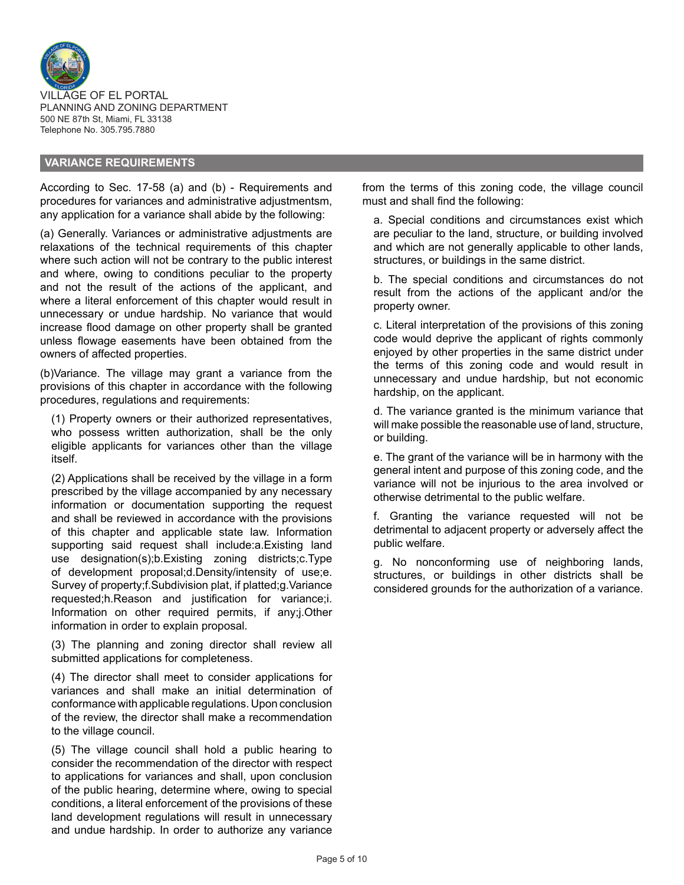

#### **VARIANCE REQUIREMENTS**

According to Sec. 17-58 (a) and (b) - Requirements and procedures for variances and administrative adjustmentsm, any application for a variance shall abide by the following:

(a) Generally. Variances or administrative adjustments are relaxations of the technical requirements of this chapter where such action will not be contrary to the public interest and where, owing to conditions peculiar to the property and not the result of the actions of the applicant, and where a literal enforcement of this chapter would result in unnecessary or undue hardship. No variance that would increase flood damage on other property shall be granted unless flowage easements have been obtained from the owners of affected properties.

(b)Variance. The village may grant a variance from the provisions of this chapter in accordance with the following procedures, regulations and requirements:

(1) Property owners or their authorized representatives, who possess written authorization, shall be the only eligible applicants for variances other than the village itself.

(2) Applications shall be received by the village in a form prescribed by the village accompanied by any necessary information or documentation supporting the request and shall be reviewed in accordance with the provisions of this chapter and applicable state law. Information supporting said request shall include:a.Existing land use designation(s);b.Existing zoning districts;c.Type of development proposal;d.Density/intensity of use;e. Survey of property;f.Subdivision plat, if platted;g.Variance requested;h.Reason and justification for variance;i. Information on other required permits, if any;j.Other information in order to explain proposal.

(3) The planning and zoning director shall review all submitted applications for completeness.

(4) The director shall meet to consider applications for variances and shall make an initial determination of conformance with applicable regulations. Upon conclusion of the review, the director shall make a recommendation to the village council.

(5) The village council shall hold a public hearing to consider the recommendation of the director with respect to applications for variances and shall, upon conclusion of the public hearing, determine where, owing to special conditions, a literal enforcement of the provisions of these land development regulations will result in unnecessary and undue hardship. In order to authorize any variance from the terms of this zoning code, the village council must and shall find the following:

a. Special conditions and circumstances exist which are peculiar to the land, structure, or building involved and which are not generally applicable to other lands, structures, or buildings in the same district.

b. The special conditions and circumstances do not result from the actions of the applicant and/or the property owner.

c. Literal interpretation of the provisions of this zoning code would deprive the applicant of rights commonly enjoyed by other properties in the same district under the terms of this zoning code and would result in unnecessary and undue hardship, but not economic hardship, on the applicant.

d. The variance granted is the minimum variance that will make possible the reasonable use of land, structure, or building.

e. The grant of the variance will be in harmony with the general intent and purpose of this zoning code, and the variance will not be injurious to the area involved or otherwise detrimental to the public welfare.

f. Granting the variance requested will not be detrimental to adjacent property or adversely affect the public welfare.

g. No nonconforming use of neighboring lands, structures, or buildings in other districts shall be considered grounds for the authorization of a variance.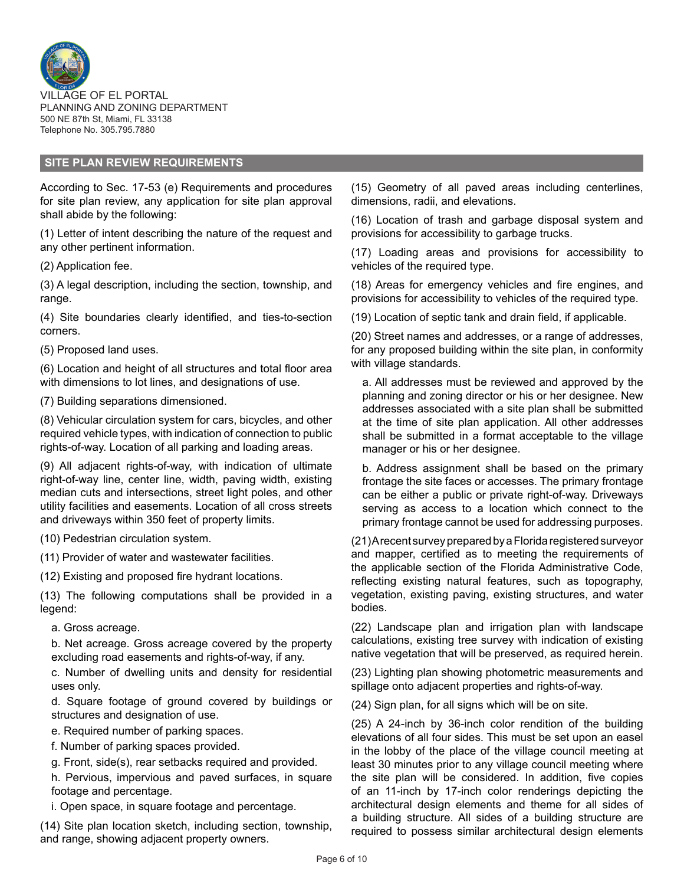

#### **SITE PLAN REVIEW REQUIREMENTS**

According to Sec. 17-53 (e) Requirements and procedures for site plan review, any application for site plan approval shall abide by the following:

(1) Letter of intent describing the nature of the request and any other pertinent information.

(2) Application fee.

(3) A legal description, including the section, township, and range.

(4) Site boundaries clearly identified, and ties-to-section corners.

(5) Proposed land uses.

(6) Location and height of all structures and total floor area with dimensions to lot lines, and designations of use.

(7) Building separations dimensioned.

(8) Vehicular circulation system for cars, bicycles, and other required vehicle types, with indication of connection to public rights-of-way. Location of all parking and loading areas.

(9) All adjacent rights-of-way, with indication of ultimate right-of-way line, center line, width, paving width, existing median cuts and intersections, street light poles, and other utility facilities and easements. Location of all cross streets and driveways within 350 feet of property limits.

(10) Pedestrian circulation system.

(11) Provider of water and wastewater facilities.

(12) Existing and proposed fire hydrant locations.

(13) The following computations shall be provided in a legend:

a. Gross acreage.

b. Net acreage. Gross acreage covered by the property excluding road easements and rights-of-way, if any.

c. Number of dwelling units and density for residential uses only.

d. Square footage of ground covered by buildings or structures and designation of use.

e. Required number of parking spaces.

f. Number of parking spaces provided.

g. Front, side(s), rear setbacks required and provided.

h. Pervious, impervious and paved surfaces, in square footage and percentage.

i. Open space, in square footage and percentage.

(14) Site plan location sketch, including section, township, and range, showing adjacent property owners.

(15) Geometry of all paved areas including centerlines, dimensions, radii, and elevations.

(16) Location of trash and garbage disposal system and provisions for accessibility to garbage trucks.

(17) Loading areas and provisions for accessibility to vehicles of the required type.

(18) Areas for emergency vehicles and fire engines, and provisions for accessibility to vehicles of the required type.

(19) Location of septic tank and drain field, if applicable.

(20) Street names and addresses, or a range of addresses, for any proposed building within the site plan, in conformity with village standards.

a. All addresses must be reviewed and approved by the planning and zoning director or his or her designee. New addresses associated with a site plan shall be submitted at the time of site plan application. All other addresses shall be submitted in a format acceptable to the village manager or his or her designee.

b. Address assignment shall be based on the primary frontage the site faces or accesses. The primary frontage can be either a public or private right-of-way. Driveways serving as access to a location which connect to the primary frontage cannot be used for addressing purposes.

(21) A recent survey prepared by a Florida registered surveyor and mapper, certified as to meeting the requirements of the applicable section of the Florida Administrative Code, reflecting existing natural features, such as topography, vegetation, existing paving, existing structures, and water bodies.

(22) Landscape plan and irrigation plan with landscape calculations, existing tree survey with indication of existing native vegetation that will be preserved, as required herein.

(23) Lighting plan showing photometric measurements and spillage onto adjacent properties and rights-of-way.

(24) Sign plan, for all signs which will be on site.

(25) A 24-inch by 36-inch color rendition of the building elevations of all four sides. This must be set upon an easel in the lobby of the place of the village council meeting at least 30 minutes prior to any village council meeting where the site plan will be considered. In addition, five copies of an 11-inch by 17-inch color renderings depicting the architectural design elements and theme for all sides of a building structure. All sides of a building structure are required to possess similar architectural design elements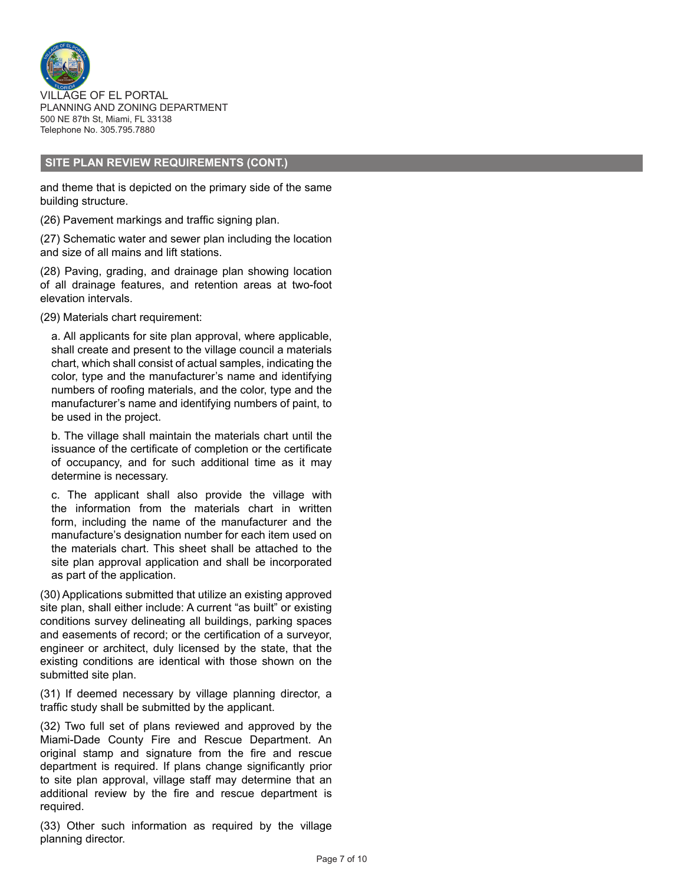

#### **SITE PLAN REVIEW REQUIREMENTS (CONT.)**

and theme that is depicted on the primary side of the same building structure.

(26) Pavement markings and traffic signing plan.

(27) Schematic water and sewer plan including the location and size of all mains and lift stations.

(28) Paving, grading, and drainage plan showing location of all drainage features, and retention areas at two-foot elevation intervals.

(29) Materials chart requirement:

a. All applicants for site plan approval, where applicable, shall create and present to the village council a materials chart, which shall consist of actual samples, indicating the color, type and the manufacturer's name and identifying numbers of roofing materials, and the color, type and the manufacturer's name and identifying numbers of paint, to be used in the project.

b. The village shall maintain the materials chart until the issuance of the certificate of completion or the certificate of occupancy, and for such additional time as it may determine is necessary.

c. The applicant shall also provide the village with the information from the materials chart in written form, including the name of the manufacturer and the manufacture's designation number for each item used on the materials chart. This sheet shall be attached to the site plan approval application and shall be incorporated as part of the application.

(30) Applications submitted that utilize an existing approved site plan, shall either include: A current "as built" or existing conditions survey delineating all buildings, parking spaces and easements of record; or the certification of a surveyor, engineer or architect, duly licensed by the state, that the existing conditions are identical with those shown on the submitted site plan.

(31) If deemed necessary by village planning director, a traffic study shall be submitted by the applicant.

(32) Two full set of plans reviewed and approved by the Miami-Dade County Fire and Rescue Department. An original stamp and signature from the fire and rescue department is required. If plans change significantly prior to site plan approval, village staff may determine that an additional review by the fire and rescue department is required.

(33) Other such information as required by the village planning director.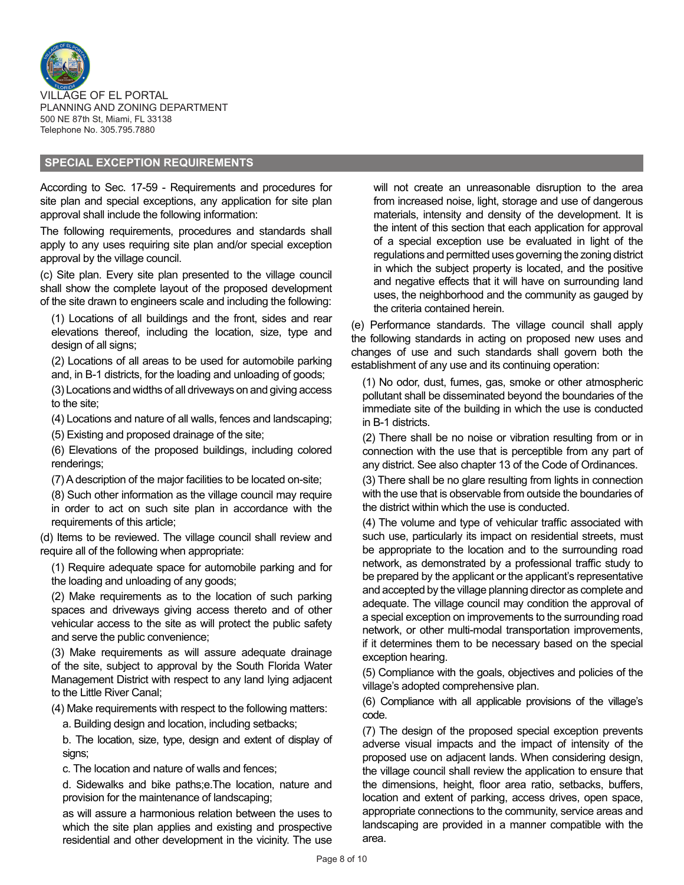

#### **SPECIAL EXCEPTION REQUIREMENTS**

According to Sec. 17-59 - Requirements and procedures for site plan and special exceptions, any application for site plan approval shall include the following information:

The following requirements, procedures and standards shall apply to any uses requiring site plan and/or special exception approval by the village council.

(c) Site plan. Every site plan presented to the village council shall show the complete layout of the proposed development of the site drawn to engineers scale and including the following:

(1) Locations of all buildings and the front, sides and rear elevations thereof, including the location, size, type and design of all signs;

(2) Locations of all areas to be used for automobile parking and, in B-1 districts, for the loading and unloading of goods;

(3) Locations and widths of all driveways on and giving access to the site;

(4) Locations and nature of all walls, fences and landscaping;

(5) Existing and proposed drainage of the site;

(6) Elevations of the proposed buildings, including colored renderings;

(7) A description of the major facilities to be located on-site;

(8) Such other information as the village council may require in order to act on such site plan in accordance with the requirements of this article;

(d) Items to be reviewed. The village council shall review and require all of the following when appropriate:

(1) Require adequate space for automobile parking and for the loading and unloading of any goods;

(2) Make requirements as to the location of such parking spaces and driveways giving access thereto and of other vehicular access to the site as will protect the public safety and serve the public convenience;

(3) Make requirements as will assure adequate drainage of the site, subject to approval by the South Florida Water Management District with respect to any land lying adjacent to the Little River Canal;

(4) Make requirements with respect to the following matters:

a. Building design and location, including setbacks;

b. The location, size, type, design and extent of display of signs;

c. The location and nature of walls and fences;

d. Sidewalks and bike paths;e.The location, nature and provision for the maintenance of landscaping;

as will assure a harmonious relation between the uses to which the site plan applies and existing and prospective residential and other development in the vicinity. The use will not create an unreasonable disruption to the area from increased noise, light, storage and use of dangerous materials, intensity and density of the development. It is the intent of this section that each application for approval of a special exception use be evaluated in light of the regulations and permitted uses governing the zoning district in which the subject property is located, and the positive and negative effects that it will have on surrounding land uses, the neighborhood and the community as gauged by the criteria contained herein.

(e) Performance standards. The village council shall apply the following standards in acting on proposed new uses and changes of use and such standards shall govern both the establishment of any use and its continuing operation:

(1) No odor, dust, fumes, gas, smoke or other atmospheric pollutant shall be disseminated beyond the boundaries of the immediate site of the building in which the use is conducted in B-1 districts.

(2) There shall be no noise or vibration resulting from or in connection with the use that is perceptible from any part of any district. See also chapter 13 of the Code of Ordinances.

(3) There shall be no glare resulting from lights in connection with the use that is observable from outside the boundaries of the district within which the use is conducted.

(4) The volume and type of vehicular traffic associated with such use, particularly its impact on residential streets, must be appropriate to the location and to the surrounding road network, as demonstrated by a professional traffic study to be prepared by the applicant or the applicant's representative and accepted by the village planning director as complete and adequate. The village council may condition the approval of a special exception on improvements to the surrounding road network, or other multi-modal transportation improvements, if it determines them to be necessary based on the special exception hearing.

(5) Compliance with the goals, objectives and policies of the village's adopted comprehensive plan.

(6) Compliance with all applicable provisions of the village's code.

(7) The design of the proposed special exception prevents adverse visual impacts and the impact of intensity of the proposed use on adjacent lands. When considering design, the village council shall review the application to ensure that the dimensions, height, floor area ratio, setbacks, buffers, location and extent of parking, access drives, open space, appropriate connections to the community, service areas and landscaping are provided in a manner compatible with the area.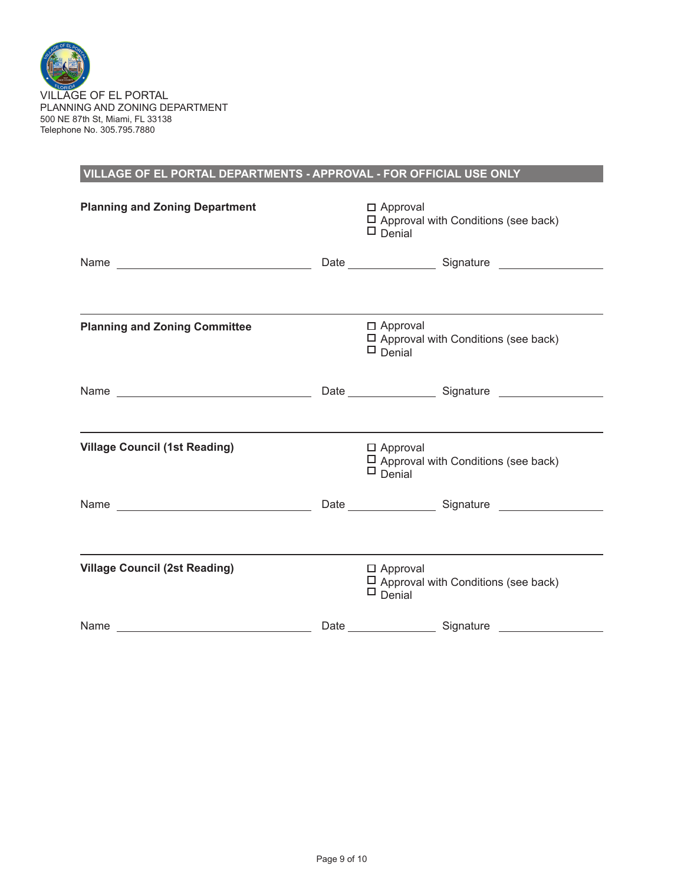

# **VILLAGE OF EL PORTAL DEPARTMENTS - APPROVAL - FOR OFFICIAL USE ONLY**

| <b>Planning and Zoning Department</b> |      | $\Box$ Approval<br>$\Box$ Approval with Conditions (see back)<br>$\Box$ Denial    |
|---------------------------------------|------|-----------------------------------------------------------------------------------|
|                                       |      |                                                                                   |
|                                       |      |                                                                                   |
| <b>Planning and Zoning Committee</b>  |      | $\Box$ Approval<br>$\Box$ Approval with Conditions (see back)<br>$\Box$ Denial    |
|                                       |      |                                                                                   |
|                                       |      |                                                                                   |
| <b>Village Council (1st Reading)</b>  |      | $\Box$ Approval<br>$\Box$ Approval with Conditions (see back)<br>$\Box$ Denial    |
| Name                                  |      |                                                                                   |
|                                       |      |                                                                                   |
| <b>Village Council (2st Reading)</b>  |      | $\square$ Approval<br>$\Box$ Approval with Conditions (see back)<br>$\Box$ Denial |
| Name                                  | Date | Signature                                                                         |